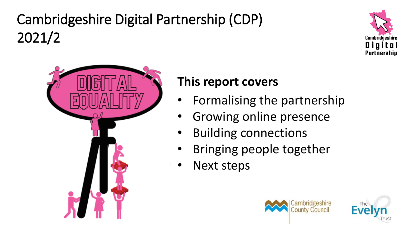# Cambridgeshire Digital Partnership (CDP) 2021/2





# **This report covers**

- Formalising the partnership
- Growing online presence
- Building connections
- Bringing people together
- Next steps



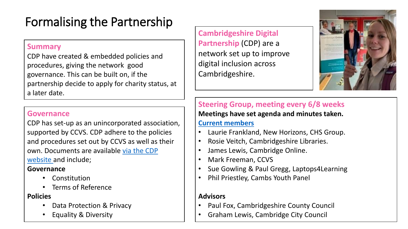# Formalising the Partnership

#### **Summary**

CDP have created & embedded policies and procedures, giving the network good governance. This can be built on, if the partnership decide to apply for charity status, at a later date.

**Governance**

CDP has set-up as an unincorporated association, supported by CCVS. CDP adhere to the policies and procedures set out by CCVS as well as their [own. Documents are available via the CDP](https://cambridgeshiredigitalpartnership.org.uk/about/governing-documents/)  website and include;

#### **Governance**

- **Constitution**
- Terms of Reference

#### **Policies**

- Data Protection & Privacy
- Equality & Diversity

**Cambridgeshire Digital Partnership** (CDP) are a network set up to improve digital inclusion across Cambridgeshire.



**Steering Group, meeting every 6/8 weeks Meetings have set agenda and minutes taken.** 

#### **[Current members](https://cambridgeshiredigitalpartnership.org.uk/)**

- Laurie Frankland, New Horizons, CHS Group.
- Rosie Veitch, Cambridgeshire Libraries.
- James Lewis, Cambridge Online.
- Mark Freeman, CCVS
- Sue Gowling & Paul Gregg, Laptops4Learning
- Phil Priestley, Cambs Youth Panel

#### **Advisors**

- Paul Fox, Cambridgeshire County Council
- Graham Lewis, Cambridge City Council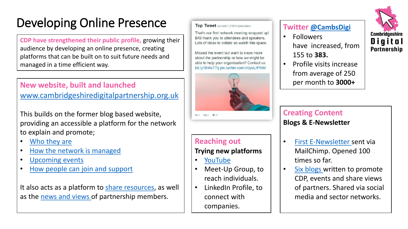# Developing Online Presence

**CDP have strengthened their public profile,** growing their audience by developing an online presence, creating platforms that can be built on to suit future needs and managed in a time efficient way.

## **New website, built and launched**  [www.cambridgeshiredigitalpartnership.org.uk](https://cambridgeshiredigitalpartnership.org.uk/)

This builds on the former blog based website, providing an accessible a platform for the network to explain and promote;

- [Who they are](https://cambridgeshiredigitalpartnership.org.uk/)
- How the network is managed
- [Upcoming events](https://cambridgeshiredigitalpartnership.org.uk/events/)
- [How people can join and support](https://cambridgeshiredigitalpartnership.org.uk/join-us/)

It also acts as a platform to [share resources,](https://cambridgeshiredigitalpartnership.org.uk/resources/) as well as the [news and views o](https://cambridgeshiredigitalpartnership.org.uk/resources/news-and-views/)f partnership members.

#### Top Tweet earned 1,015 impressions

That's our first network meeting wrapped up! BIG thank you to attendees and speakers. Lots of ideas to collate so watch this space.

Missed the event but want to know more about the partnership or how we might be able to help your organisation? Contact us bit.ly/3H4sT7q pic.twitter.com/vGvcLrPlhM



**411 136 ₩11** 

### **Reaching out**

**Trying new platforms**

- [YouTube](https://www.youtube.com/channel/UCuHlEKZm4nuYBVT_JbwxOgw)
- Meet-Up Group, to reach individuals.
- LinkedIn Profile, to connect with companies.

#### **Twitter [@CambsDigi](https://twitter.com/CambsDigi)**

- Followers have increased, from 155 to **383.**
- Profile visits increase from average of 250 per month to **3000+**

### **Creating Content Blogs & E-Newsletter**

- [First E-Newsletter](https://mailchi.mp/774e353b74e2/cdp-newsletter-digital-digest-december-2021?e=4df5e1447d) sent via MailChimp. Opened 100 times so far.
- [Six blogs](https://cambridgeshiredigitalpartnership.org.uk/resources/news-and-views/) written to promote CDP, events and share views of partners. Shared via social media and sector networks.

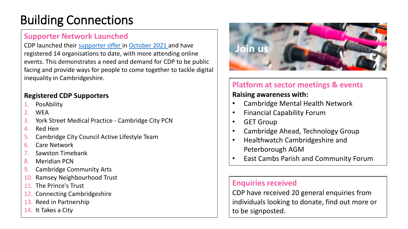# Building Connections

### **Supporter Network Launched**

CDP launched their [supporter offer i](https://cambridgeshiredigitalpartnership.org.uk/join-us/)n [October 2021](https://cambridgeshiredigitalpartnership.org.uk/2021/10/15/cambridgeshire-digital-partnership-were-off/) and have registered 14 organisations to date, with more attending online events. This demonstrates a need and demand for CDP to be public facing and provide ways for people to come together to tackle digital inequality in Cambridgeshire.

#### **Registered CDP Supporters**

- 1. PosAbility
- 2. WEA
- 3. York Street Medical Practice Cambridge City PCN
- 4. Red Hen
- 5. Cambridge City Council Active Lifestyle Team
- 6. Care Network
- Sawston Timebank
- 8. Meridian PCN
- 9. Cambridge Community Arts
- Ramsey Neighbourhood Trust
- 11. The Prince's Trust
- **Connecting Cambridgeshire**
- 13. Reed in Partnership
- 14. It Takes a City



# **Platform at sector meetings & events**

#### **Raising awareness with:**

- Cambridge Mental Health Network
- Financial Capability Forum
- GET Group
- Cambridge Ahead, Technology Group
- Healthwatch Cambridgeshire and Peterborough AGM
- East Cambs Parish and Community Forum

#### **Enquiries received**

CDP have received 20 general enquiries from individuals looking to donate, find out more or to be signposted.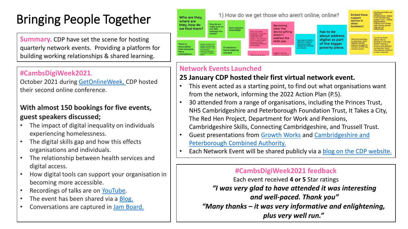# Bringing People Together

**Summary.** CDP have set the scene for hosting quarterly network events. Providing a platform for building working relationships & shared learning.

#### **#CambsDigiWeek2021**.

October 2021 during [GetOnlineWeek](https://uk.getonlineweek.com/), CDP hosted their second online conference.

### **With almost 150 bookings for five events, guest speakers discussed;**

- The impact of digital inequality on individuals experiencing homelessness.
- The digital skills gap and how this effects organisations and individuals.
- The relationship between health services and digital access.
- How digital tools can support your organisation in becoming more accessible.
- Recordings of talks are on [YouTube](https://www.youtube.com/channel/UCuHlEKZm4nuYBVT_JbwxOgw).
- The event has been shared via a Blog.
- Conversations are captured in [Jam Board.](https://jamboard.google.com/d/1KDMZHA4QuhmCDtigUo64qmnxQ5ybE0pgda3nKDv1Lfo/edit?usp=sharing)



### **Network Events Launched**

### **25 January CDP hosted their first virtual network event.**

- This event acted as a starting point, to find out what organisations want from the network, informing the 2022 Action Plan (P.5).
- 30 attended from a range of organisations, including the Princes Trust, NHS Cambridgeshire and Peterborough Foundation Trust, It Takes a City, The Red Hen Project, Department for Work and Pensions, Cambridgeshire Skills, Connecting Cambridgeshire, and Trussell Trust.
- [Guest presentations from Growth Works](https://cambridgeshirepeterborough-ca.gov.uk/) and Cambridgeshire and Peterborough Combined Authority.
- Each Network Event will be shared publicly via a [blog on the CDP website.](https://cambridgeshiredigitalpartnership.org.uk/2022/01/25/cdp-network-event-25-january-2022/)

### **#CambsDigiWeek2021 feedback**

Each event received **4 or 5** Star ratings *"I was very glad to have attended it was interesting and well-paced. Thank you" "Many thanks – it was very informative and enlightening, plus very well run."*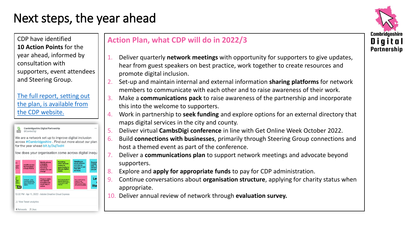# Next steps, the year ahead

CDP have identified **10 Action Points** for the year ahead, informed by consultation with supporters, event attendees and Steering Group.

The full report, setting out [the plan, is available from](https://cambridgeshiredigitalpartnership.org.uk/wp-content/uploads/2022/03/CDP-Delivery-Planning-22-23-.pdf)  the CDP website.

|                                          |                                                                                                | low does your organisation come across digital inequ                                 |                                                                                                              |                                                                                                         |                                                             |
|------------------------------------------|------------------------------------------------------------------------------------------------|--------------------------------------------------------------------------------------|--------------------------------------------------------------------------------------------------------------|---------------------------------------------------------------------------------------------------------|-------------------------------------------------------------|
| <b>Ims</b><br>ndillor<br>ntact<br>ing no | mobile access<br>for homeless -<br>A true lifeline                                             | <b>Mobile phone</b><br>charging -<br>homeless.<br>Knowing<br>where you can<br>charge | Providing<br>other services<br>means an<br>opportunity to<br>discuss digital<br>needs                        | <b>Needing an</b><br>email address<br>and signup<br>process to use<br>free Wifi<br>services.            | <b>Expensi</b><br>mobile<br>bills / ta<br>advanta<br>people |
| need<br>online<br>tations<br><b>ALT</b>  | Databank - other<br>countries allowing<br>you to donate extra<br>data to those who<br>need it. | Those in debt.<br>not digitally<br>included and<br>most help is<br>online            | Don't have access to<br>physical devices so<br>have to wait to get a<br>connection to the<br><b>Internet</b> | Poor credit history.<br>unable to get<br>contracts. They<br>need to know there<br>are options available | Le<br>lite                                                  |

### **Action Plan, what CDP will do in 2022/3**

- 1. Deliver quarterly **network meetings** with opportunity for supporters to give updates, hear from guest speakers on best practice, work together to create resources and promote digital inclusion.
- 2. Set-up and maintain internal and external information **sharing platforms** for network members to communicate with each other and to raise awareness of their work.
- 3. Make a **communications pack** to raise awareness of the partnership and incorporate this into the welcome to supporters.
- 4. Work in partnership to **seek funding** and explore options for an external directory that maps digital services in the city and county.
- 5. Deliver virtual **CambsDigi conference** in line with Get Online Week October 2022.
- 6. Build **connections with businesses**, primarily through Steering Group connections and host a themed event as part of the conference.
- 7. Deliver a **communications plan** to support network meetings and advocate beyond supporters.
- 8. Explore and **apply for appropriate funds** to pay for CDP administration.
- 9. Continue conversations about **organisation structure**, applying for charity status when appropriate.
- 10. Deliver annual review of network through **evaluation survey.**